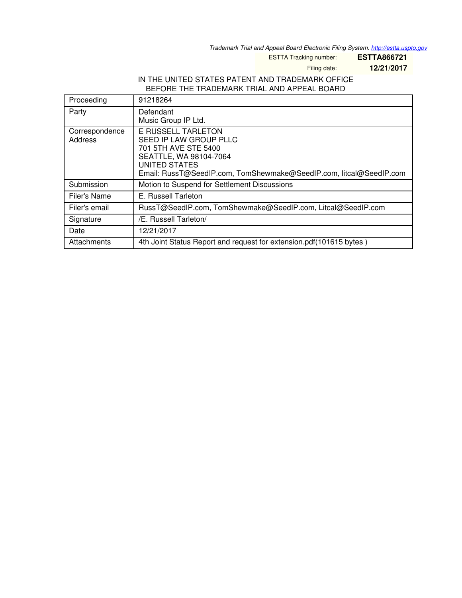*Trademark Trial and Appeal Board Electronic Filing System. <http://estta.uspto.gov>*

ESTTA Tracking number: **ESTTA866721**

Filing date: **12/21/2017**

# IN THE UNITED STATES PATENT AND TRADEMARK OFFICE BEFORE THE TRADEMARK TRIAL AND APPEAL BOARD

| Proceeding                | 91218264                                                                                                                                                                                     |
|---------------------------|----------------------------------------------------------------------------------------------------------------------------------------------------------------------------------------------|
| Party                     | Defendant<br>Music Group IP Ltd.                                                                                                                                                             |
| Correspondence<br>Address | <b>E RUSSELL TARLETON</b><br>SEED IP LAW GROUP PLLC<br>701 5TH AVE STE 5400<br>SEATTLE, WA 98104-7064<br>UNITED STATES<br>Email: RussT@SeedIP.com, TomShewmake@SeedIP.com, litcal@SeedIP.com |
| Submission                | Motion to Suspend for Settlement Discussions                                                                                                                                                 |
| Filer's Name              | E. Russell Tarleton                                                                                                                                                                          |
| Filer's email             | RussT@SeedIP.com, TomShewmake@SeedIP.com, Litcal@SeedIP.com                                                                                                                                  |
| Signature                 | /E. Russell Tarleton/                                                                                                                                                                        |
| Date                      | 12/21/2017                                                                                                                                                                                   |
| Attachments               | 4th Joint Status Report and request for extension.pdf (101615 bytes)                                                                                                                         |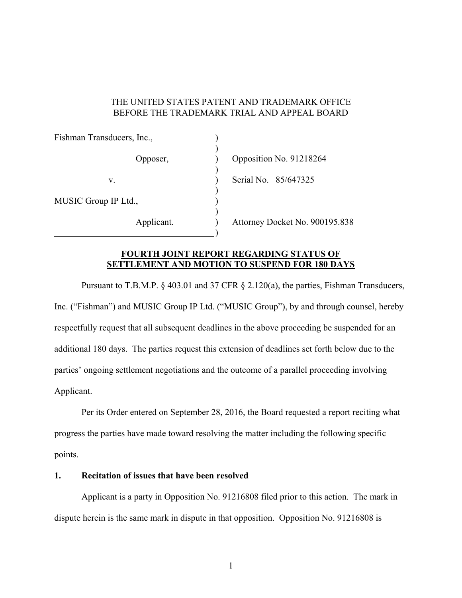### THE UNITED STATES PATENT AND TRADEMARK OFFICE BEFORE THE TRADEMARK TRIAL AND APPEAL BOARD

| Fishman Transducers, Inc., |                                |
|----------------------------|--------------------------------|
| Opposer,                   | Opposition No. 91218264        |
| V.                         | Serial No. 85/647325           |
| MUSIC Group IP Ltd.,       |                                |
| Applicant.                 | Attorney Docket No. 900195.838 |

### **FOURTH JOINT REPORT REGARDING STATUS OF SETTLEMENT AND MOTION TO SUSPEND FOR 180 DAYS**

 Pursuant to T.B.M.P. § 403.01 and 37 CFR § 2.120(a), the parties, Fishman Transducers, Inc. ("Fishman") and MUSIC Group IP Ltd. ("MUSIC Group"), by and through counsel, hereby respectfully request that all subsequent deadlines in the above proceeding be suspended for an additional 180 days. The parties request this extension of deadlines set forth below due to the parties' ongoing settlement negotiations and the outcome of a parallel proceeding involving Applicant.

 Per its Order entered on September 28, 2016, the Board requested a report reciting what progress the parties have made toward resolving the matter including the following specific points.

# **1. Recitation of issues that have been resolved**

Applicant is a party in Opposition No. 91216808 filed prior to this action. The mark in dispute herein is the same mark in dispute in that opposition. Opposition No. 91216808 is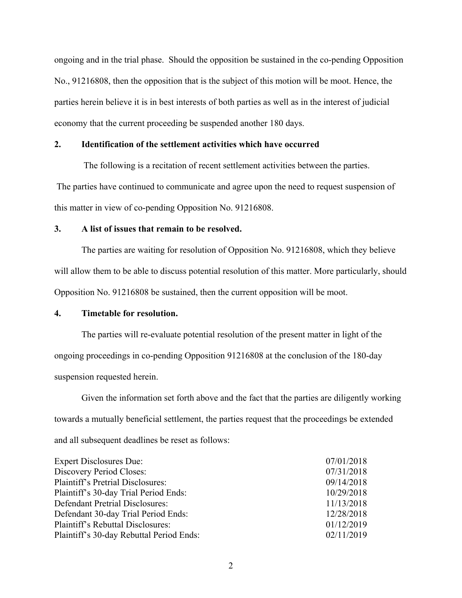ongoing and in the trial phase. Should the opposition be sustained in the co-pending Opposition No., 91216808, then the opposition that is the subject of this motion will be moot. Hence, the parties herein believe it is in best interests of both parties as well as in the interest of judicial economy that the current proceeding be suspended another 180 days.

#### **2. Identification of the settlement activities which have occurred**

 The following is a recitation of recent settlement activities between the parties. The parties have continued to communicate and agree upon the need to request suspension of this matter in view of co-pending Opposition No. 91216808.

### **3. A list of issues that remain to be resolved.**

 The parties are waiting for resolution of Opposition No. 91216808, which they believe will allow them to be able to discuss potential resolution of this matter. More particularly, should Opposition No. 91216808 be sustained, then the current opposition will be moot.

## **4. Timetable for resolution.**

 The parties will re-evaluate potential resolution of the present matter in light of the ongoing proceedings in co-pending Opposition 91216808 at the conclusion of the 180-day suspension requested herein.

 Given the information set forth above and the fact that the parties are diligently working towards a mutually beneficial settlement, the parties request that the proceedings be extended and all subsequent deadlines be reset as follows:

| <b>Expert Disclosures Due:</b>           | 07/01/2018 |
|------------------------------------------|------------|
| Discovery Period Closes:                 | 07/31/2018 |
| <b>Plaintiff's Pretrial Disclosures:</b> | 09/14/2018 |
| Plaintiff's 30-day Trial Period Ends:    | 10/29/2018 |
| Defendant Pretrial Disclosures:          | 11/13/2018 |
| Defendant 30-day Trial Period Ends:      | 12/28/2018 |
| Plaintiff's Rebuttal Disclosures:        | 01/12/2019 |
| Plaintiff's 30-day Rebuttal Period Ends: | 02/11/2019 |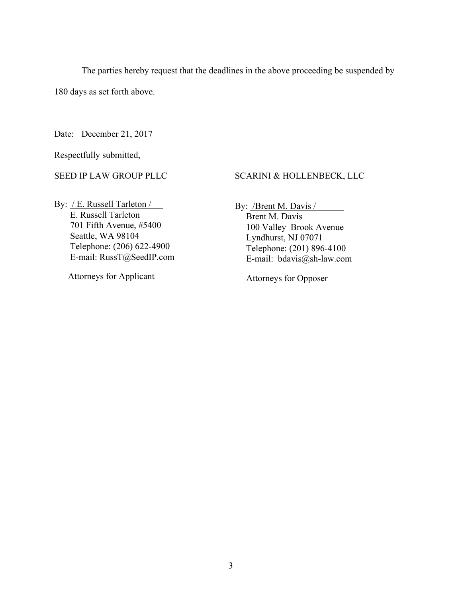The parties hereby request that the deadlines in the above proceeding be suspended by

180 days as set forth above.

Date: December 21, 2017

Respectfully submitted,

SEED IP LAW GROUP PLLC

### SCARINI & HOLLENBECK, LLC

By: / E. Russell Tarleton / E. Russell Tarleton 701 Fifth Avenue, #5400 Seattle, WA 98104 Telephone: (206) 622-4900 E-mail: RussT@SeedIP.com

Attorneys for Applicant

By: **/Brent M. Davis /** 

 Brent M. Davis 100 Valley Brook Avenue Lyndhurst, NJ 07071 Telephone: (201) 896-4100 E-mail: bdavis@sh-law.com

Attorneys for Opposer